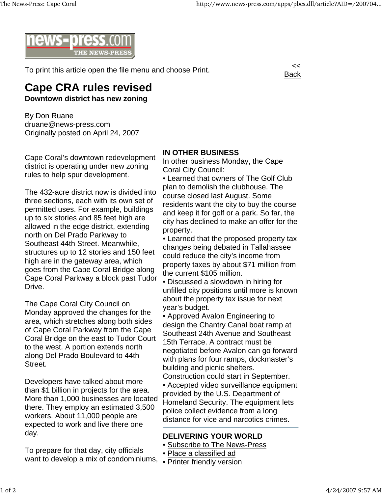

To print this article open the file menu and choose Print.



## **Cape CRA rules revised**

**Downtown district has new zoning**

By Don Ruane druane@news-press.com Originally posted on April 24, 2007

Cape Coral's downtown redevelopment district is operating under new zoning rules to help spur development.

The 432-acre district now is divided into three sections, each with its own set of permitted uses. For example, buildings up to six stories and 85 feet high are allowed in the edge district, extending north on Del Prado Parkway to Southeast 44th Street. Meanwhile, structures up to 12 stories and 150 feet high are in the gateway area, which goes from the Cape Coral Bridge along Cape Coral Parkway a block past Tudor Drive.

The Cape Coral City Council on Monday approved the changes for the area, which stretches along both sides of Cape Coral Parkway from the Cape Coral Bridge on the east to Tudor Court to the west. A portion extends north along Del Prado Boulevard to 44th Street.

Developers have talked about more than \$1 billion in projects for the area. More than 1,000 businesses are located there. They employ an estimated 3,500 workers. About 11,000 people are expected to work and live there one day.

To prepare for that day, city officials want to develop a mix of condominiums,

## **IN OTHER BUSINESS**

In other business Monday, the Cape Coral City Council:

• Learned that owners of The Golf Club plan to demolish the clubhouse. The course closed last August. Some residents want the city to buy the course and keep it for golf or a park. So far, the city has declined to make an offer for the property.

- Learned that the proposed property tax changes being debated in Tallahassee could reduce the city's income from property taxes by about \$71 million from the current \$105 million.
- Discussed a slowdown in hiring for unfilled city positions until more is known about the property tax issue for next year's budget.
- Approved Avalon Engineering to design the Chantry Canal boat ramp at Southeast 24th Avenue and Southeast 15th Terrace. A contract must be negotiated before Avalon can go forward with plans for four ramps, dockmaster's building and picnic shelters.

Construction could start in September.

• Accepted video surveillance equipment provided by the U.S. Department of Homeland Security. The equipment lets police collect evidence from a long distance for vice and narcotics crimes.

## **DELIVERING YOUR WORLD**

- Subscribe to The News-Press
- Place a classified ad
- Printer friendly version